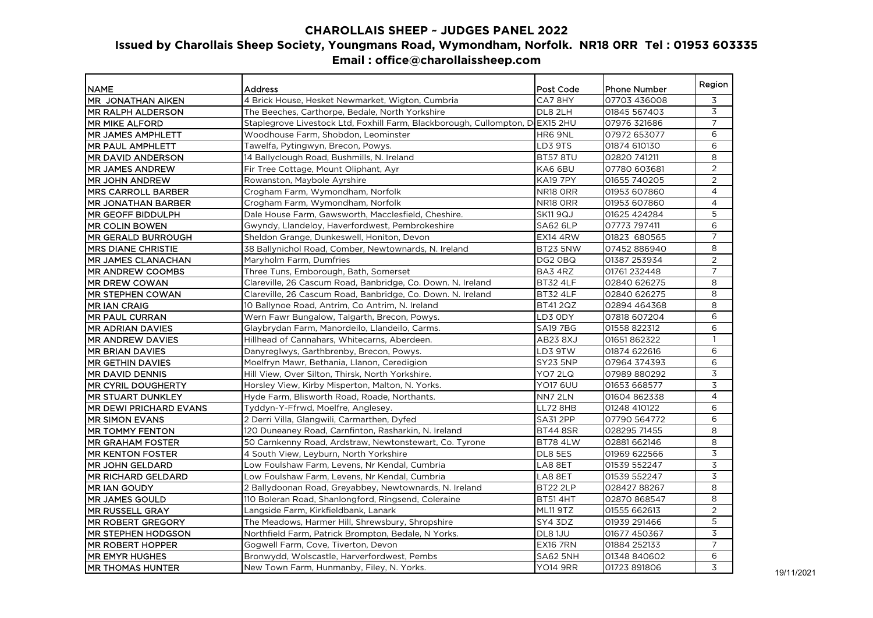## **CHAROLLAIS SHEEP ~ JUDGES PANEL 2022 Issued by Charollais Sheep Society, Youngmans Road, Wymondham, Norfolk. NR18 0RR Tel : 01953 603335 Email : office@charollaissheep.com**

|                            |                                                                               |                 |                     | Region         |
|----------------------------|-------------------------------------------------------------------------------|-----------------|---------------------|----------------|
| <b>NAME</b>                | <b>Address</b>                                                                | Post Code       | <b>Phone Number</b> |                |
| MR JONATHAN AIKEN          | 4 Brick House, Hesket Newmarket, Wigton, Cumbria                              | CA78HY          | 07703 436008        | 3              |
| <b>MR RALPH ALDERSON</b>   | The Beeches, Carthorpe, Bedale, North Yorkshire                               | DL8 2LH         | 01845 567403        | 3              |
| <b>IMR MIKE ALFORD</b>     | Staplegrove Livestock Ltd, Foxhill Farm, Blackborough, Cullompton, D EX15 2HU |                 | 07976 321686        | 7              |
| MR JAMES AMPHLETT          | Woodhouse Farm, Shobdon, Leominster                                           | HR6 9NL         | 07972 653077        | 6              |
| <b>MR PAUL AMPHLETT</b>    | Tawelfa, Pytingwyn, Brecon, Powys.                                            | LD3 9TS         | 01874 610130        | 6              |
| <b>IMR DAVID ANDERSON</b>  | 14 Ballyclough Road, Bushmills, N. Ireland                                    | BT57 8TU        | 02820 741211        | 8              |
| MR JAMES ANDREW            | Fir Tree Cottage, Mount Oliphant, Ayr                                         | KA6 6BU         | 07780 603681        | $\overline{2}$ |
| <b>MR JOHN ANDREW</b>      | Rowanston, Maybole Ayrshire                                                   | <b>KA19 7PY</b> | 01655 740205        | 2              |
| <b>IMRS CARROLL BARBER</b> | Crogham Farm, Wymondham, Norfolk                                              | NR18 ORR        | 01953 607860        | 4              |
| IMR JONATHAN BARBER        | Crogham Farm, Wymondham, Norfolk                                              | NR18 ORR        | 01953 607860        | 4              |
| MR GEOFF BIDDULPH          | Dale House Farm, Gawsworth, Macclesfield, Cheshire.                           | <b>SK11 9QJ</b> | 01625 424284        | 5              |
| <b>MR COLIN BOWEN</b>      | Gwyndy, Llandeloy, Haverfordwest, Pembrokeshire                               | $SA62$ 6LP      | 07773 797411        | 6              |
| MR GERALD BURROUGH         | Sheldon Grange, Dunkeswell, Honiton, Devon                                    | <b>EX14 4RW</b> | 01823 680565        | $\overline{7}$ |
| <b>MRS DIANE CHRISTIE</b>  | 38 Ballynichol Road, Comber, Newtownards, N. Ireland                          | <b>BT23 5NW</b> | 07452886940         | 8              |
| <b>IMR JAMES CLANACHAN</b> | Maryholm Farm, Dumfries                                                       | DG2 OBQ         | 01387 253934        | $\overline{2}$ |
| <b>MR ANDREW COOMBS</b>    | Three Tuns, Emborough, Bath, Somerset                                         | BA3 4RZ         | 01761 232448        | $\overline{7}$ |
| <b>MR DREW COWAN</b>       | Clareville, 26 Cascum Road, Banbridge, Co. Down. N. Ireland                   | <b>BT32 4LF</b> | 02840 626275        | 8              |
| MR STEPHEN COWAN           | Clareville, 26 Cascum Road, Banbridge, Co. Down. N. Ireland                   | <b>BT32 4LF</b> | 02840 626275        | 8              |
| <b>MRIAN CRAIG</b>         | 10 Ballynoe Road, Antrim, Co Antrim, N. Ireland                               | BT412QZ         | 02894 464368        | 8              |
| <b>IMR PAUL CURRAN</b>     | Wern Fawr Bungalow, Talgarth, Brecon, Powys.                                  | LD3 ODY         | 07818 607204        | 6              |
| <b>MR ADRIAN DAVIES</b>    | Glaybrydan Farm, Manordeilo, Llandeilo, Carms.                                | <b>SA19 7BG</b> | 01558 822312        | 6              |
| <b>MR ANDREW DAVIES</b>    | Hillhead of Cannahars, Whitecarns, Aberdeen.                                  | AB23 8XJ        | 01651 862322        | $\mathbf{1}$   |
| <b>MR BRIAN DAVIES</b>     | Danyreglwys, Garthbrenby, Brecon, Powys.                                      | LD3 9TW         | 01874 622616        | 6              |
| <b>MR GETHIN DAVIES</b>    | Moelfryn Mawr, Bethania, Llanon, Ceredigion                                   | <b>SY23 5NP</b> | 07964 374393        | 6              |
| <b>MR DAVID DENNIS</b>     | Hill View, Over Silton, Thirsk, North Yorkshire.                              | YO7 2LQ         | 07989880292         | 3              |
| IMR CYRIL DOUGHERTY        | Horsley View, Kirby Misperton, Malton, N. Yorks.                              | <b>YO17 6UU</b> | 01653 668577        | 3              |
| <b>IMR STUART DUNKLEY</b>  | Hyde Farm, Blisworth Road, Roade, Northants.                                  | NN7 2LN         | 01604 862338        | 4              |
| MR DEWI PRICHARD EVANS     | Tyddyn-Y-Ffrwd, Moelfre, Anglesey.                                            | <b>LL72 8HB</b> | 01248 410122        | 6              |
| MR SIMON EVANS             | 2 Derri Villa, Glangwili, Carmarthen, Dyfed                                   | <b>SA31 2PP</b> | 07790 564772        | 6              |
| <b>MR TOMMY FENTON</b>     | 120 Duneaney Road, Carnfinton, Rasharkin, N. Ireland                          | <b>BT44 8SR</b> | 028295 71455        | 8              |
| <b>MR GRAHAM FOSTER</b>    | 50 Carnkenny Road, Ardstraw, Newtonstewart, Co. Tyrone                        | <b>BT78 4LW</b> | 02881 662146        | 8              |
| <b>IMR KENTON FOSTER</b>   | 4 South View, Leyburn, North Yorkshire                                        | DL8 5ES         | 01969 622566        | 3              |
| <b>MR JOHN GELDARD</b>     | Low Foulshaw Farm, Levens, Nr Kendal, Cumbria                                 | LA8 8ET         | 01539 552247        | 3              |
| <b>MR RICHARD GELDARD</b>  | Low Foulshaw Farm, Levens, Nr Kendal, Cumbria                                 | LA8 8ET         | 01539 552247        | 3              |
| MR IAN GOUDY               | 2 Ballydoonan Road, Greyabbey, Newtownards, N. Ireland                        | <b>BT22 2LP</b> | 02842788267         | 8              |
| <b>MR JAMES GOULD</b>      | 110 Boleran Road, Shanlongford, Ringsend, Coleraine                           | <b>BT51 4HT</b> | 02870 868547        | 8              |
| <b>MR RUSSELL GRAY</b>     | Langside Farm, Kirkfieldbank, Lanark                                          | <b>ML11 9TZ</b> | 01555 662613        | $\overline{2}$ |
| MR ROBERT GREGORY          | The Meadows, Harmer Hill, Shrewsbury, Shropshire                              | SY4 3DZ         | 01939 291466        | 5              |
| <b>MR STEPHEN HODGSON</b>  | Northfield Farm, Patrick Brompton, Bedale, N Yorks.                           | DL8 1JU         | 01677 450367        | 3              |
| MR ROBERT HOPPER           | Gogwell Farm, Cove, Tiverton, Devon                                           | <b>EX16 7RN</b> | 01884 252133        | $\overline{7}$ |
| <b>MR EMYR HUGHES</b>      | Bronwydd, Wolscastle, Harverfordwest, Pembs                                   | <b>SA62 5NH</b> | 01348 840602        | 6              |
| IMR THOMAS HUNTER          | New Town Farm, Hunmanby, Filey, N. Yorks.                                     | <b>YO14 9RR</b> | 01723 891806        | 3              |
|                            |                                                                               |                 |                     |                |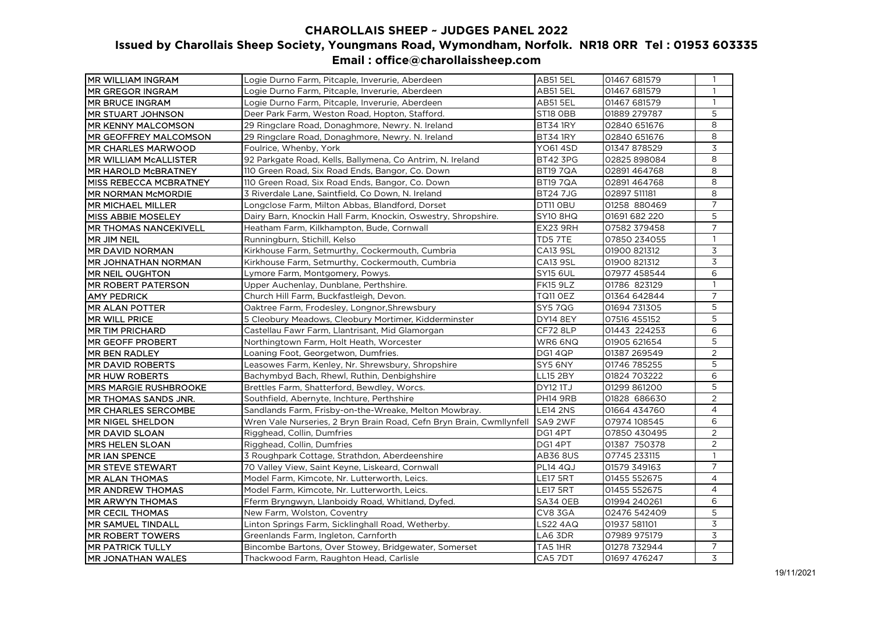## **CHAROLLAIS SHEEP ~ JUDGES PANEL 2022 Issued by Charollais Sheep Society, Youngmans Road, Wymondham, Norfolk. NR18 0RR Tel : 01953 603335 Email : office@charollaissheep.com**

| MR WILLIAM INGRAM             | Logie Durno Farm, Pitcaple, Inverurie, Aberdeen                      | <b>AB51 5EL</b> | 01467 681579  | $\mathbf{1}$   |
|-------------------------------|----------------------------------------------------------------------|-----------------|---------------|----------------|
| <b>MR GREGOR INGRAM</b>       | Logie Durno Farm, Pitcaple, Inverurie, Aberdeen                      | <b>AB51 5EL</b> | 01467 681579  | $\mathbf{1}$   |
| <b>MR BRUCE INGRAM</b>        | Logie Durno Farm, Pitcaple, Inverurie, Aberdeen                      | <b>AB51 5EL</b> | 01467 681579  | $\mathbf{1}$   |
| <b>MR STUART JOHNSON</b>      | Deer Park Farm, Weston Road, Hopton, Stafford.                       | ST18 OBB        | 01889 279787  | 5              |
| <b>MR KENNY MALCOMSON</b>     | 29 Ringclare Road, Donaghmore, Newry. N. Ireland                     | BT34 1RY        | 02840 651676  | 8              |
| <b>MR GEOFFREY MALCOMSON</b>  | 29 Ringclare Road, Donaghmore, Newry. N. Ireland                     | <b>BT34 1RY</b> | 02840 651676  | 8              |
| <b>MR CHARLES MARWOOD</b>     | Foulrice, Whenby, York                                               | <b>YO61 4SD</b> | 01347 878529  | 3              |
| <b>MR WILLIAM MCALLISTER</b>  | 92 Parkgate Road, Kells, Ballymena, Co Antrim, N. Ireland            | <b>BT42 3PG</b> | 02825 898084  | 8              |
| <b>MR HAROLD MCBRATNEY</b>    | 110 Green Road, Six Road Ends, Bangor, Co. Down                      | BT19 7QA        | 02891464768   | 8              |
| <b>MISS REBECCA MCBRATNEY</b> | 110 Green Road, Six Road Ends, Bangor, Co. Down                      | <b>BT19 7QA</b> | 02891464768   | 8              |
| <b>MR NORMAN McMORDIE</b>     | 3 Riverdale Lane, Saintfield, Co Down, N. Ireland                    | <b>BT247JG</b>  | 02897 511181  | 8              |
| MR MICHAEL MILLER             | Longclose Farm, Milton Abbas, Blandford, Dorset                      | DT11 OBU        | 01258 880469  | $\overline{7}$ |
| <b>MISS ABBIE MOSELEY</b>     | Dairy Barn, Knockin Hall Farm, Knockin, Oswestry, Shropshire.        | <b>SY10 8HQ</b> | 01691 682 220 | 5              |
| <b>MR THOMAS NANCEKIVELL</b>  | Heatham Farm, Kilkhampton, Bude, Cornwall                            | EX23 9RH        | 07582 379458  | $\overline{7}$ |
| MR JIM NEIL                   | Runningburn, Stichill, Kelso                                         | TD57TE          | 07850 234055  | $\mathbf{1}$   |
| MR DAVID NORMAN               | Kirkhouse Farm, Setmurthy, Cockermouth, Cumbria                      | <b>CA13 9SL</b> | 01900 821312  | 3              |
| <b>MR JOHNATHAN NORMAN</b>    | Kirkhouse Farm, Setmurthy, Cockermouth, Cumbria                      | <b>CA13 9SL</b> | 01900 821312  | $\overline{3}$ |
| MR NEIL OUGHTON               | Lymore Farm, Montgomery, Powys.                                      | <b>SY15 6UL</b> | 07977 458544  | 6              |
| <b>MR ROBERT PATERSON</b>     | Upper Auchenlay, Dunblane, Perthshire.                               | <b>FK15 9LZ</b> | 01786 823129  | $\mathbf{1}$   |
| <b>AMY PEDRICK</b>            | Church Hill Farm, Buckfastleigh, Devon.                              | <b>TQ11 OEZ</b> | 01364 642844  | 7              |
| <b>MR ALAN POTTER</b>         | Oaktree Farm, Frodesley, Longnor, Shrewsbury                         | <b>SY5 7QG</b>  | 01694 731305  | 5              |
| MR WILL PRICE                 | 5 Cleobury Meadows, Cleobury Mortimer, Kidderminster                 | <b>DY14 8EY</b> | 07516 455152  | 5              |
| MR TIM PRICHARD               | Castellau Fawr Farm, Llantrisant, Mid Glamorgan                      | CF728LP         | 01443 224253  | 6              |
| <b>MR GEOFF PROBERT</b>       | Northingtown Farm, Holt Heath, Worcester                             | WR6 6NQ         | 01905 621654  | 5              |
| <b>MR BEN RADLEY</b>          | Loaning Foot, Georgetwon, Dumfries.                                  | DG14QP          | 01387 269549  | $\overline{2}$ |
| MR DAVID ROBERTS              | Leasowes Farm, Kenley, Nr. Shrewsbury, Shropshire                    | SY5 6NY         | 01746 785255  | 5              |
| <b>MR HUW ROBERTS</b>         | Bachymbyd Bach, Rhewl, Ruthin, Denbighshire                          | LL15 2BY        | 01824 703222  | 6              |
| <b>MRS MARGIE RUSHBROOKE</b>  | Brettles Farm, Shatterford, Bewdley, Worcs.                          | <b>DY12 1TJ</b> | 01299 861200  | 5              |
| MR THOMAS SANDS JNR.          | Southfield, Abernyte, Inchture, Perthshire                           | <b>PH14 9RB</b> | 01828 686630  | $\overline{2}$ |
| <b>MR CHARLES SERCOMBE</b>    | Sandlands Farm, Frisby-on-the-Wreake, Melton Mowbray.                | <b>LE14 2NS</b> | 01664 434760  | $\overline{4}$ |
| MR NIGEL SHELDON              | Wren Vale Nurseries, 2 Bryn Brain Road, Cefn Bryn Brain, Cwmllynfell | SA9 2WF         | 07974 108545  | 6              |
| <b>MR DAVID SLOAN</b>         | Rigghead, Collin, Dumfries                                           | DG14PT          | 07850 430495  | 2              |
| <b>MRS HELEN SLOAN</b>        | Rigghead, Collin, Dumfries                                           | DG14PT          | 01387 750378  | $\overline{2}$ |
| MR IAN SPENCE                 | 3 Roughpark Cottage, Strathdon, Aberdeenshire                        | <b>AB36 8US</b> | 07745 233115  | $\mathbf{1}$   |
| <b>MR STEVE STEWART</b>       | 70 Valley View, Saint Keyne, Liskeard, Cornwall                      | <b>PL14 4QJ</b> | 01579 349163  | $\overline{7}$ |
| <b>MR ALAN THOMAS</b>         | Model Farm, Kimcote, Nr. Lutterworth, Leics.                         | <b>LE17 5RT</b> | 01455 552675  | $\overline{4}$ |
| <b>MR ANDREW THOMAS</b>       | Model Farm, Kimcote, Nr. Lutterworth, Leics.                         | <b>LE17 5RT</b> | 01455 552675  | $\overline{4}$ |
| MR ARWYN THOMAS               | Fferm Bryngwyn, Llanboidy Road, Whitland, Dyfed.                     | SA34 OEB        | 01994 240261  | 6              |
| MR CECIL THOMAS               | New Farm, Wolston, Coventry                                          | CV8 3GA         | 02476 542409  | 5              |
| <b>MR SAMUEL TINDALL</b>      | Linton Springs Farm, Sicklinghall Road, Wetherby.                    | <b>LS22 4AQ</b> | 01937 581101  | 3              |
| <b>IMR ROBERT TOWERS</b>      | Greenlands Farm, Ingleton, Carnforth                                 | LA6 3DR         | 07989 975179  | 3              |
| <b>MR PATRICK TULLY</b>       | Bincombe Bartons, Over Stowey, Bridgewater, Somerset                 | TA51HR          | 01278 732944  | 7              |
| MR JONATHAN WALES             | Thackwood Farm, Raughton Head, Carlisle                              | CA5 7DT         | 01697 476247  | 3              |